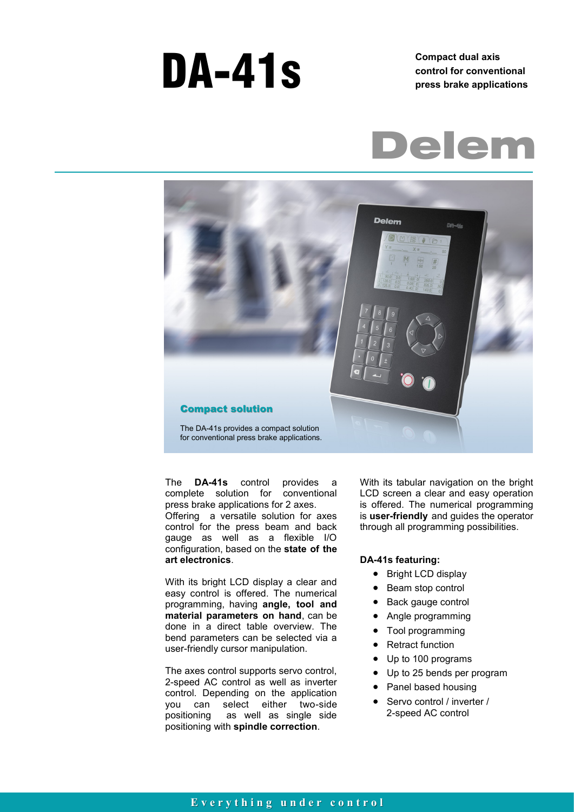# **DA-41s** Compact dual axis control for convent

**control for conventional press brake applications**





The **DA-41s** control provides a complete solution for conventional press brake applications for 2 axes. Offering a versatile solution for axes control for the press beam and back gauge as well as a flexible I/O configuration, based on the **state of the art electronics**.

With its bright LCD display a clear and easy control is offered. The numerical programming, having **angle, tool and material parameters on hand**, can be done in a direct table overview. The bend parameters can be selected via a user-friendly cursor manipulation.

The axes control supports servo control, 2-speed AC control as well as inverter control. Depending on the application you can select either two-side positioning as well as single side positioning with **spindle correction**.

With its tabular navigation on the bright LCD screen a clear and easy operation is offered. The numerical programming is **user-friendly** and guides the operator through all programming possibilities.

#### **DA-41s featuring:**

- Bright LCD display
- Beam stop control
- Back gauge control
- Angle programming
- Tool programming
- Retract function
- Up to 100 programs
- Up to 25 bends per program
- Panel based housing
- Servo control / inverter / 2-speed AC control